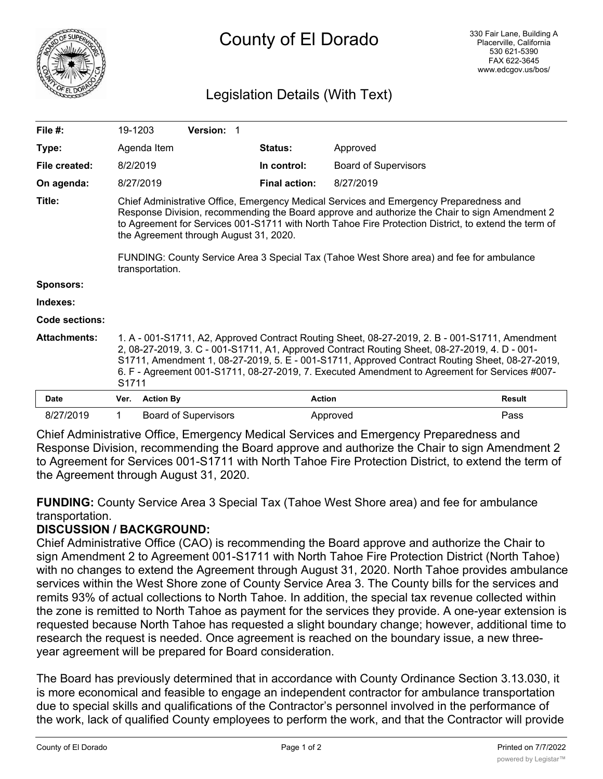

# Legislation Details (With Text)

| File $#$ :          | 19-1203                                                                                                                                                                                                                                                                                                                                                                                                                               |                  | <b>Version: 1</b>           |  |                      |                             |               |  |
|---------------------|---------------------------------------------------------------------------------------------------------------------------------------------------------------------------------------------------------------------------------------------------------------------------------------------------------------------------------------------------------------------------------------------------------------------------------------|------------------|-----------------------------|--|----------------------|-----------------------------|---------------|--|
| Type:               |                                                                                                                                                                                                                                                                                                                                                                                                                                       | Agenda Item      |                             |  | Status:              | Approved                    |               |  |
| File created:       | 8/2/2019                                                                                                                                                                                                                                                                                                                                                                                                                              |                  |                             |  | In control:          | <b>Board of Supervisors</b> |               |  |
| On agenda:          |                                                                                                                                                                                                                                                                                                                                                                                                                                       | 8/27/2019        |                             |  | <b>Final action:</b> | 8/27/2019                   |               |  |
| Title:              | Chief Administrative Office, Emergency Medical Services and Emergency Preparedness and<br>Response Division, recommending the Board approve and authorize the Chair to sign Amendment 2<br>to Agreement for Services 001-S1711 with North Tahoe Fire Protection District, to extend the term of<br>the Agreement through August 31, 2020.<br>FUNDING: County Service Area 3 Special Tax (Tahoe West Shore area) and fee for ambulance |                  |                             |  |                      |                             |               |  |
|                     |                                                                                                                                                                                                                                                                                                                                                                                                                                       | transportation.  |                             |  |                      |                             |               |  |
| Sponsors:           |                                                                                                                                                                                                                                                                                                                                                                                                                                       |                  |                             |  |                      |                             |               |  |
| Indexes:            |                                                                                                                                                                                                                                                                                                                                                                                                                                       |                  |                             |  |                      |                             |               |  |
| Code sections:      |                                                                                                                                                                                                                                                                                                                                                                                                                                       |                  |                             |  |                      |                             |               |  |
| <b>Attachments:</b> | 1. A - 001-S1711, A2, Approved Contract Routing Sheet, 08-27-2019, 2. B - 001-S1711, Amendment<br>2, 08-27-2019, 3. C - 001-S1711, A1, Approved Contract Routing Sheet, 08-27-2019, 4. D - 001-<br>S1711, Amendment 1, 08-27-2019, 5. E - 001-S1711, Approved Contract Routing Sheet, 08-27-2019,<br>6. F - Agreement 001-S1711, 08-27-2019, 7. Executed Amendment to Agreement for Services #007-<br>S1711                           |                  |                             |  |                      |                             |               |  |
| Date                | Ver.                                                                                                                                                                                                                                                                                                                                                                                                                                  | <b>Action By</b> |                             |  |                      | <b>Action</b>               | <b>Result</b> |  |
| 8/27/2019           | $\mathbf 1$                                                                                                                                                                                                                                                                                                                                                                                                                           |                  | <b>Board of Supervisors</b> |  |                      | Approved                    | Pass          |  |

Chief Administrative Office, Emergency Medical Services and Emergency Preparedness and Response Division, recommending the Board approve and authorize the Chair to sign Amendment 2 to Agreement for Services 001-S1711 with North Tahoe Fire Protection District, to extend the term of the Agreement through August 31, 2020.

**FUNDING:** County Service Area 3 Special Tax (Tahoe West Shore area) and fee for ambulance transportation.

# **DISCUSSION / BACKGROUND:**

Chief Administrative Office (CAO) is recommending the Board approve and authorize the Chair to sign Amendment 2 to Agreement 001-S1711 with North Tahoe Fire Protection District (North Tahoe) with no changes to extend the Agreement through August 31, 2020. North Tahoe provides ambulance services within the West Shore zone of County Service Area 3. The County bills for the services and remits 93% of actual collections to North Tahoe. In addition, the special tax revenue collected within the zone is remitted to North Tahoe as payment for the services they provide. A one-year extension is requested because North Tahoe has requested a slight boundary change; however, additional time to research the request is needed. Once agreement is reached on the boundary issue, a new threeyear agreement will be prepared for Board consideration.

The Board has previously determined that in accordance with County Ordinance Section 3.13.030, it is more economical and feasible to engage an independent contractor for ambulance transportation due to special skills and qualifications of the Contractor's personnel involved in the performance of the work, lack of qualified County employees to perform the work, and that the Contractor will provide